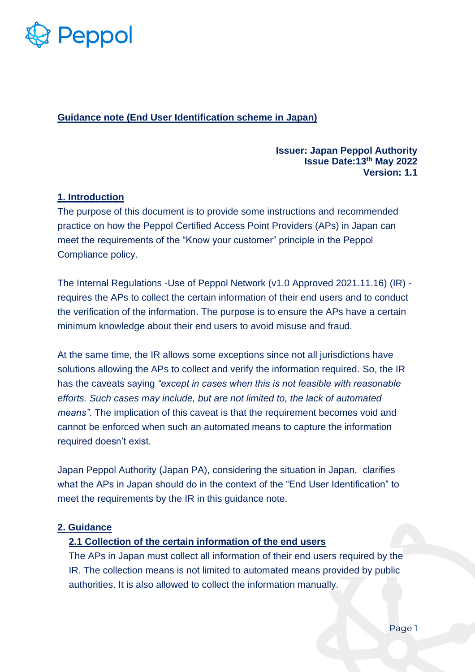

**Guidance note (End User Identification scheme in Japan)**

### **Issuer: Japan Peppol Authority Issue Date:13th May 2022 Version: 1.1**

### **1. Introduction**

The purpose of this document is to provide some instructions and recommended practice on how the Peppol Certified Access Point Providers (APs) in Japan can meet the requirements of the "Know your customer" principle in the Peppol Compliance policy.

The Internal Regulations -Use of Peppol Network (v1.0 Approved 2021.11.16) (IR) requires the APs to collect the certain information of their end users and to conduct the verification of the information. The purpose is to ensure the APs have a certain minimum knowledge about their end users to avoid misuse and fraud.

At the same time, the IR allows some exceptions since not all jurisdictions have solutions allowing the APs to collect and verify the information required. So, the IR has the caveats saying *"except in cases when this is not feasible with reasonable efforts. Such cases may include, but are not limited to, the lack of automated means"*. The implication of this caveat is that the requirement becomes void and cannot be enforced when such an automated means to capture the information required doesn't exist.

Japan Peppol Authority (Japan PA), considering the situation in Japan, clarifies what the APs in Japan should do in the context of the "End User Identification" to meet the requirements by the IR in this guidance note.

# **2. Guidance**

#### **2.1 Collection of the certain information of the end users**

The APs in Japan must collect all information of their end users required by the IR. The collection means is not limited to automated means provided by public authorities. It is also allowed to collect the information manually.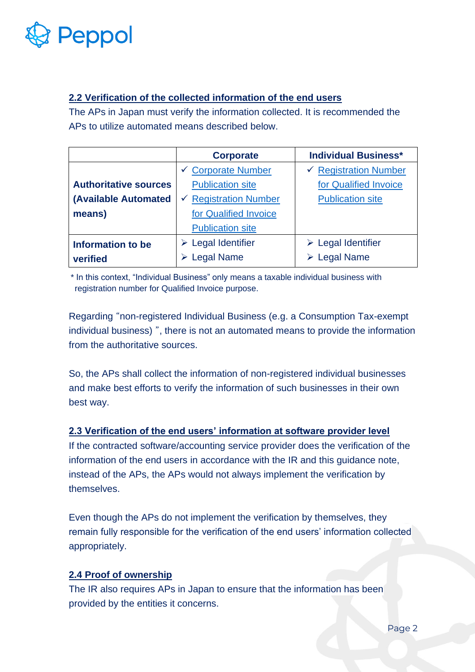

# **2.2 Verification of the collected information of the end users**

The APs in Japan must verify the information collected. It is recommended the APs to utilize automated means described below.

|                              | <b>Corporate</b>                                                       | <b>Individual Business*</b>      |
|------------------------------|------------------------------------------------------------------------|----------------------------------|
|                              | $\checkmark$ Corporate Number                                          | $\checkmark$ Registration Number |
| <b>Authoritative sources</b> | <b>Publication site</b>                                                | for Qualified Invoice            |
| (Available Automated         | <b>Registration Number</b><br>$\checkmark$                             | <b>Publication site</b>          |
| means)                       | for Qualified Invoice                                                  |                                  |
|                              | <b>Publication site</b>                                                |                                  |
| <b>Information to be</b>     | $\triangleright$ Legal Identifier<br>$\triangleright$ Legal Identifier |                                  |
| verified                     | <b>Legal Name</b>                                                      | $\triangleright$ Legal Name      |

\* In this context, "Individual Business" only means a taxable individual business with registration number for Qualified Invoice purpose.

Regarding "non-registered Individual Business (e.g. a Consumption Tax-exempt individual business) ", there is not an automated means to provide the information from the authoritative sources.

So, the APs shall collect the information of non-registered individual businesses and make best efforts to verify the information of such businesses in their own best way.

# **2.3 Verification of the end users' information at software provider level**

If the contracted software/accounting service provider does the verification of the information of the end users in accordance with the IR and this guidance note, instead of the APs, the APs would not always implement the verification by themselves.

Even though the APs do not implement the verification by themselves, they remain fully responsible for the verification of the end users' information collected appropriately.

# **2.4 Proof of ownership**

The IR also requires APs in Japan to ensure that the information has been provided by the entities it concerns.